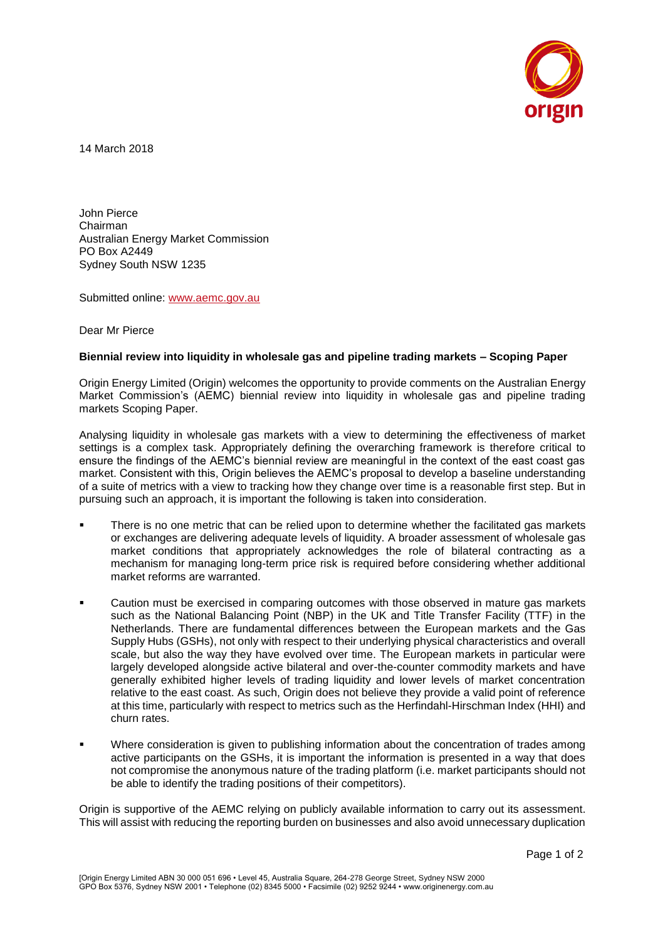

14 March 2018

John Pierce Chairman Australian Energy Market Commission PO Box A2449 Sydney South NSW 1235

Submitted online: [www.aemc.gov.au](http://www.aemc.gov.au/)

Dear Mr Pierce

## **Biennial review into liquidity in wholesale gas and pipeline trading markets – Scoping Paper**

Origin Energy Limited (Origin) welcomes the opportunity to provide comments on the Australian Energy Market Commission's (AEMC) biennial review into liquidity in wholesale gas and pipeline trading markets Scoping Paper.

Analysing liquidity in wholesale gas markets with a view to determining the effectiveness of market settings is a complex task. Appropriately defining the overarching framework is therefore critical to ensure the findings of the AEMC's biennial review are meaningful in the context of the east coast gas market. Consistent with this, Origin believes the AEMC's proposal to develop a baseline understanding of a suite of metrics with a view to tracking how they change over time is a reasonable first step. But in pursuing such an approach, it is important the following is taken into consideration.

- There is no one metric that can be relied upon to determine whether the facilitated gas markets or exchanges are delivering adequate levels of liquidity. A broader assessment of wholesale gas market conditions that appropriately acknowledges the role of bilateral contracting as a mechanism for managing long-term price risk is required before considering whether additional market reforms are warranted.
- Caution must be exercised in comparing outcomes with those observed in mature gas markets such as the National Balancing Point (NBP) in the UK and Title Transfer Facility (TTF) in the Netherlands. There are fundamental differences between the European markets and the Gas Supply Hubs (GSHs), not only with respect to their underlying physical characteristics and overall scale, but also the way they have evolved over time. The European markets in particular were largely developed alongside active bilateral and over-the-counter commodity markets and have generally exhibited higher levels of trading liquidity and lower levels of market concentration relative to the east coast. As such, Origin does not believe they provide a valid point of reference at this time, particularly with respect to metrics such as the Herfindahl-Hirschman Index (HHI) and churn rates.
- Where consideration is given to publishing information about the concentration of trades among active participants on the GSHs, it is important the information is presented in a way that does not compromise the anonymous nature of the trading platform (i.e. market participants should not be able to identify the trading positions of their competitors).

Origin is supportive of the AEMC relying on publicly available information to carry out its assessment. This will assist with reducing the reporting burden on businesses and also avoid unnecessary duplication